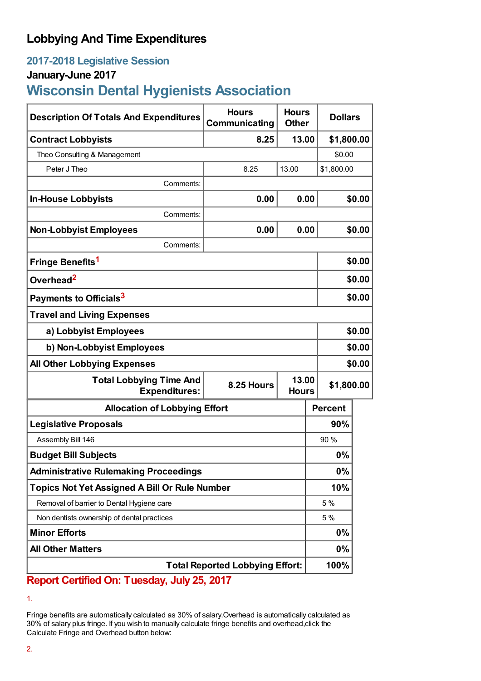# **Lobbying And Time Expenditures**

## **2017-2018 Legislative Session**

### **January-June 2017**

# **Wisconsin Dental Hygienists Association**

| <b>Description Of Totals And Expenditures</b>          | <b>Hours</b><br>Communicating       | <b>Hours</b><br><b>Other</b> | <b>Dollars</b> |        |  |
|--------------------------------------------------------|-------------------------------------|------------------------------|----------------|--------|--|
| <b>Contract Lobbyists</b>                              | 8.25                                | 13.00                        | \$1,800.00     |        |  |
| Theo Consulting & Management                           |                                     |                              | \$0.00         |        |  |
| Peter J Theo                                           | 8.25                                | 13.00                        | \$1,800.00     |        |  |
| Comments:                                              |                                     |                              |                |        |  |
| <b>In-House Lobbyists</b>                              | 0.00                                | 0.00                         |                | \$0.00 |  |
| Comments:                                              |                                     |                              |                |        |  |
| <b>Non-Lobbyist Employees</b>                          | 0.00                                | 0.00                         |                | \$0.00 |  |
| Comments:                                              |                                     |                              |                |        |  |
| Fringe Benefits <sup>1</sup>                           |                                     |                              |                | \$0.00 |  |
| Overhead <sup>2</sup>                                  |                                     |                              |                | \$0.00 |  |
| Payments to Officials <sup>3</sup>                     |                                     |                              |                | \$0.00 |  |
| <b>Travel and Living Expenses</b>                      |                                     |                              |                |        |  |
| a) Lobbyist Employees                                  |                                     |                              |                | \$0.00 |  |
| b) Non-Lobbyist Employees                              |                                     |                              |                | \$0.00 |  |
| <b>All Other Lobbying Expenses</b>                     |                                     |                              |                | \$0.00 |  |
| <b>Total Lobbying Time And</b><br><b>Expenditures:</b> | 13.00<br>8.25 Hours<br><b>Hours</b> |                              | \$1,800.00     |        |  |
| <b>Allocation of Lobbying Effort</b>                   |                                     |                              | <b>Percent</b> |        |  |
| <b>Legislative Proposals</b>                           |                                     |                              | 90%            |        |  |
| Assembly Bill 146                                      |                                     |                              | 90%            |        |  |
| <b>Budget Bill Subjects</b>                            |                                     |                              | 0%             |        |  |
| <b>Administrative Rulemaking Proceedings</b>           |                                     |                              | 0%             |        |  |
| <b>Topics Not Yet Assigned A Bill Or Rule Number</b>   |                                     |                              | 10%            |        |  |
| Removal of barrier to Dental Hygiene care              |                                     |                              | 5 %            |        |  |
| Non dentists ownership of dental practices             |                                     |                              | 5%             |        |  |
| <b>Minor Efforts</b>                                   |                                     |                              | $0\%$          |        |  |
| <b>All Other Matters</b>                               |                                     |                              | 0%             |        |  |
| <b>Total Reported Lobbying Effort:</b>                 |                                     |                              |                |        |  |

## **Report Certified On: Tuesday, July 25, 2017**

Fringe benefits are automatically calculated as 30% of salary.Overhead is automatically calculated as 30% of salary plus fringe. If you wish to manually calculate fringe benefits and overhead,click the Calculate Fringe and Overhead button below:

<sup>1.</sup>